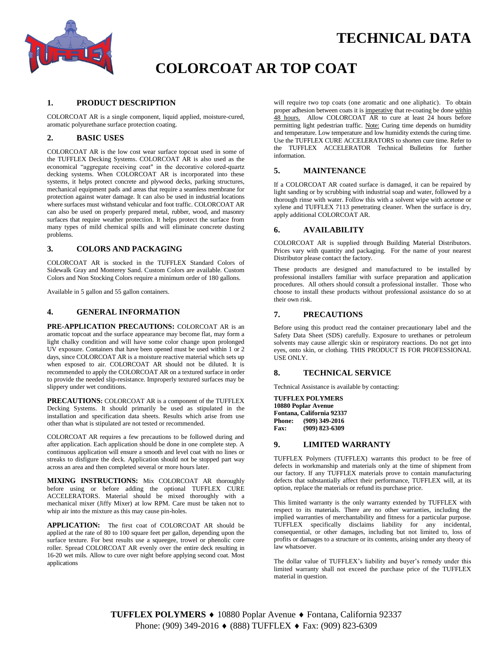



# **COLORCOAT AR TOP COAT**

#### **1. PRODUCT DESCRIPTION**

COLORCOAT AR is a single component, liquid applied, moisture-cured, aromatic polyurethane surface protection coating.

#### **2. BASIC USES**

COLORCOAT AR is the low cost wear surface topcoat used in some of the TUFFLEX Decking Systems. COLORCOAT AR is also used as the economical "aggregate receiving coat" in the decorative colored-quartz decking systems. When COLORCOAT AR is incorporated into these systems, it helps protect concrete and plywood decks, parking structures, mechanical equipment pads and areas that require a seamless membrane for protection against water damage. It can also be used in industrial locations where surfaces must withstand vehicular and foot traffic. COLORCOAT AR can also be used on properly prepared metal, rubber, wood, and masonry surfaces that require weather protection. It helps protect the surface from many types of mild chemical spills and will eliminate concrete dusting problems.

#### **3. COLORS AND PACKAGING**

COLORCOAT AR is stocked in the TUFFLEX Standard Colors of Sidewalk Gray and Monterey Sand. Custom Colors are available. Custom Colors and Non Stocking Colors require a minimum order of 180 gallons.

Available in 5 gallon and 55 gallon containers.

#### **4. GENERAL INFORMATION**

**PRE-APPLICATION PRECAUTIONS:** COLORCOAT AR is an aromatic topcoat and the surface appearance may become flat, may form a light chalky condition and will have some color change upon prolonged UV exposure. Containers that have been opened must be used within 1 or 2 days, since COLORCOAT AR is a moisture reactive material which sets up when exposed to air. COLORCOAT AR should not be diluted. It is recommended to apply the COLORCOAT AR on a textured surface in order to provide the needed slip-resistance. Improperly textured surfaces may be slippery under wet conditions.

**PRECAUTIONS:** COLORCOAT AR is a component of the TUFFLEX Decking Systems. It should primarily be used as stipulated in the installation and specification data sheets. Results which arise from use other than what is stipulated are not tested or recommended.

COLORCOAT AR requires a few precautions to be followed during and after application. Each application should be done in one complete step. A continuous application will ensure a smooth and level coat with no lines or streaks to disfigure the deck. Application should not be stopped part way across an area and then completed several or more hours later.

**MIXING INSTRUCTIONS:** Mix COLORCOAT AR thoroughly before using or before adding the optional TUFFLEX CURE ACCELERATORS. Material should be mixed thoroughly with a mechanical mixer (Jiffy Mixer) at low RPM. Care must be taken not to whip air into the mixture as this may cause pin-holes.

**APPLICATION:** The first coat of COLORCOAT AR should be applied at the rate of 80 to 100 square feet per gallon, depending upon the surface texture. For best results use a squeegee, trowel or phenolic core roller. Spread COLORCOAT AR evenly over the entire deck resulting in 16-20 wet mils. Allow to cure over night before applying second coat. Most applications

will require two top coats (one aromatic and one aliphatic). To obtain proper adhesion between coats it is imperative that re-coating be done within 48 hours. Allow COLORCOAT AR to cure at least 24 hours before permitting light pedestrian traffic. Note: Curing time depends on humidity and temperature. Low temperature and low humidity extends the curing time. Use the TUFFLEX CURE ACCELERATORS to shorten cure time. Refer to the TUFFLEX ACCELERATOR Technical Bulletins for further information.

#### **5. MAINTENANCE**

If a COLORCOAT AR coated surface is damaged, it can be repaired by light sanding or by scrubbing with industrial soap and water, followed by a thorough rinse with water. Follow this with a solvent wipe with acetone or xylene and TUFFLEX 7113 penetrating cleaner*.* When the surface is dry, apply additional COLORCOAT AR.

#### **6. AVAILABILITY**

COLORCOAT AR is supplied through Building Material Distributors. Prices vary with quantity and packaging. For the name of your nearest Distributor please contact the factory.

These products are designed and manufactured to be installed by professional installers familiar with surface preparation and application procedures. All others should consult a professional installer. Those who choose to install these products without professional assistance do so at their own risk.

#### **7. PRECAUTIONS**

Before using this product read the container precautionary label and the Safety Data Sheet (SDS) carefully. Exposure to urethanes or petroleum solvents may cause allergic skin or respiratory reactions. Do not get into eyes, onto skin, or clothing. THIS PRODUCT IS FOR PROFESSIONAL USE ONLY.

#### **8. TECHNICAL SERVICE**

Technical Assistance is available by contacting:

**TUFFLEX POLYMERS 10880 Poplar Avenue Fontana, California 92337 Phone: (909) 349-2016 Fax: (909) 823-6309**

#### **9. LIMITED WARRANTY**

TUFFLEX Polymers (TUFFLEX) warrants this product to be free of defects in workmanship and materials only at the time of shipment from our factory. If any TUFFLEX materials prove to contain manufacturing defects that substantially affect their performance, TUFFLEX will, at its option, replace the materials or refund its purchase price.

This limited warranty is the only warranty extended by TUFFLEX with respect to its materials. There are no other warranties, including the implied warranties of merchantability and fitness for a particular purpose. TUFFLEX specifically disclaims liability for any incidental, consequential, or other damages, including but not limited to, loss of profits or damages to a structure or its contents, arising under any theory of law whatsoever.

The dollar value of TUFFLEX's liability and buyer's remedy under this limited warranty shall not exceed the purchase price of the TUFFLEX material in question.

**TUFFLEX POLYMERS ♦** 10880 Poplar Avenue ♦ Fontana, California 92337 Phone: (909) 349-2016 ♦ (888) TUFFLEX ♦ Fax: (909) 823-6309